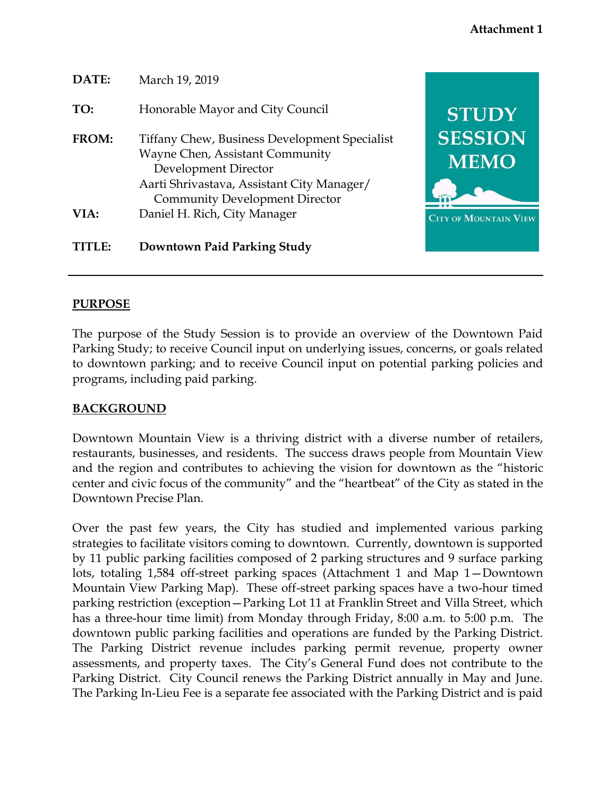| DATE:        | March 19, 2019                                                                                                                                                                                         |                               |
|--------------|--------------------------------------------------------------------------------------------------------------------------------------------------------------------------------------------------------|-------------------------------|
| TO:          | Honorable Mayor and City Council                                                                                                                                                                       | <b>STUDY</b>                  |
| <b>FROM:</b> | <b>Tiffany Chew, Business Development Specialist</b><br>Wayne Chen, Assistant Community<br>Development Director<br>Aarti Shrivastava, Assistant City Manager/<br><b>Community Development Director</b> | <b>SESSION</b><br><b>MEMO</b> |
| VIA:         | Daniel H. Rich, City Manager                                                                                                                                                                           | <b>CITY OF MOUNTAIN VIEW</b>  |
| TITLE:       | Downtown Paid Parking Study                                                                                                                                                                            |                               |

## **PURPOSE**

The purpose of the Study Session is to provide an overview of the Downtown Paid Parking Study; to receive Council input on underlying issues, concerns, or goals related to downtown parking; and to receive Council input on potential parking policies and programs, including paid parking.

## **BACKGROUND**

Downtown Mountain View is a thriving district with a diverse number of retailers, restaurants, businesses, and residents. The success draws people from Mountain View and the region and contributes to achieving the vision for downtown as the "historic center and civic focus of the community" and the "heartbeat" of the City as stated in the Downtown Precise Plan.

Over the past few years, the City has studied and implemented various parking strategies to facilitate visitors coming to downtown. Currently, downtown is supported by 11 public parking facilities composed of 2 parking structures and 9 surface parking lots, totaling 1,584 off-street parking spaces (Attachment 1 and Map 1—Downtown Mountain View Parking Map). These off-street parking spaces have a two-hour timed parking restriction (exception—Parking Lot 11 at Franklin Street and Villa Street, which has a three-hour time limit) from Monday through Friday, 8:00 a.m. to 5:00 p.m. The downtown public parking facilities and operations are funded by the Parking District. The Parking District revenue includes parking permit revenue, property owner assessments, and property taxes. The City's General Fund does not contribute to the Parking District. City Council renews the Parking District annually in May and June. The Parking In-Lieu Fee is a separate fee associated with the Parking District and is paid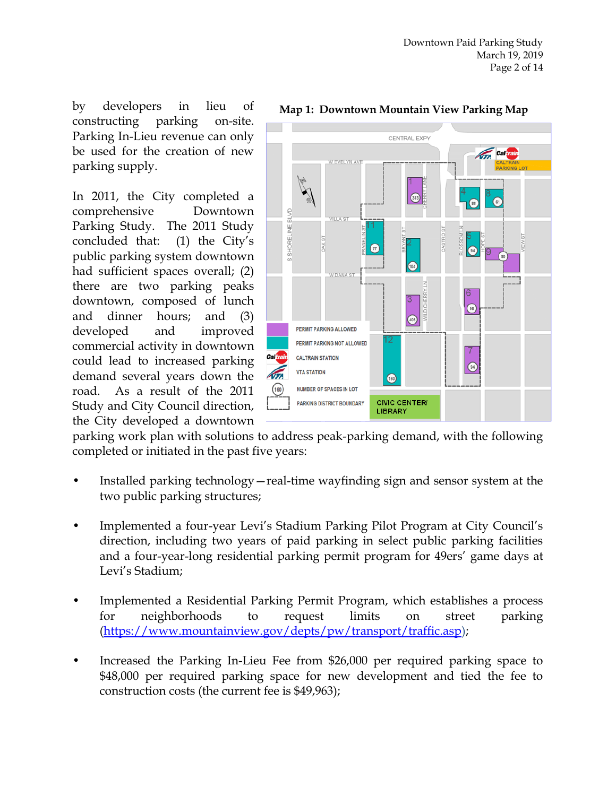by developers in lieu of constructing parking on-site. Parking In-Lieu revenue can only be used for the creation of new parking supply.

In 2011, the City completed a comprehensive Downtown Parking Study. The 2011 Study concluded that: (1) the City's public parking system downtown had sufficient spaces overall; (2) there are two parking peaks downtown, composed of lunch and dinner hours; and (3) developed and improved commercial activity in downtown could lead to increased parking demand several years down the road. As a result of the 2011 Study and City Council direction, the City developed a downtown



#### **Map 1: Downtown Mountain View Parking Map**

parking work plan with solutions to address peak-parking demand, with the following completed or initiated in the past five years:

- Installed parking technology—real-time wayfinding sign and sensor system at the two public parking structures;
- Implemented a four-year Levi's Stadium Parking Pilot Program at City Council's direction, including two years of paid parking in select public parking facilities and a four-year-long residential parking permit program for 49ers' game days at Levi's Stadium;
- Implemented a Residential Parking Permit Program, which establishes a process for neighborhoods to request limits on street parking [\(https://www.mountainview.gov/depts/pw/transport/traffic.asp\)](https://www.mountainview.gov/depts/pw/transport/traffic.asp);
- Increased the Parking In-Lieu Fee from \$26,000 per required parking space to \$48,000 per required parking space for new development and tied the fee to construction costs (the current fee is \$49,963);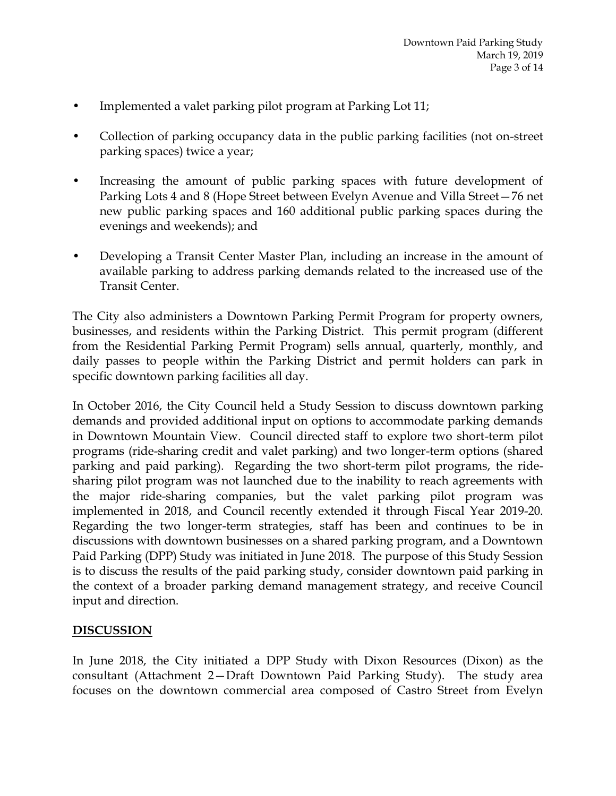- Implemented a valet parking pilot program at Parking Lot 11;
- Collection of parking occupancy data in the public parking facilities (not on-street parking spaces) twice a year;
- Increasing the amount of public parking spaces with future development of Parking Lots 4 and 8 (Hope Street between Evelyn Avenue and Villa Street—76 net new public parking spaces and 160 additional public parking spaces during the evenings and weekends); and
- Developing a Transit Center Master Plan, including an increase in the amount of available parking to address parking demands related to the increased use of the Transit Center.

The City also administers a Downtown Parking Permit Program for property owners, businesses, and residents within the Parking District. This permit program (different from the Residential Parking Permit Program) sells annual, quarterly, monthly, and daily passes to people within the Parking District and permit holders can park in specific downtown parking facilities all day.

In October 2016, the City Council held a Study Session to discuss downtown parking demands and provided additional input on options to accommodate parking demands in Downtown Mountain View. Council directed staff to explore two short-term pilot programs (ride-sharing credit and valet parking) and two longer-term options (shared parking and paid parking). Regarding the two short-term pilot programs, the ridesharing pilot program was not launched due to the inability to reach agreements with the major ride-sharing companies, but the valet parking pilot program was implemented in 2018, and Council recently extended it through Fiscal Year 2019-20. Regarding the two longer-term strategies, staff has been and continues to be in discussions with downtown businesses on a shared parking program, and a Downtown Paid Parking (DPP) Study was initiated in June 2018. The purpose of this Study Session is to discuss the results of the paid parking study, consider downtown paid parking in the context of a broader parking demand management strategy, and receive Council input and direction.

#### **DISCUSSION**

In June 2018, the City initiated a DPP Study with Dixon Resources (Dixon) as the consultant (Attachment 2—Draft Downtown Paid Parking Study). The study area focuses on the downtown commercial area composed of Castro Street from Evelyn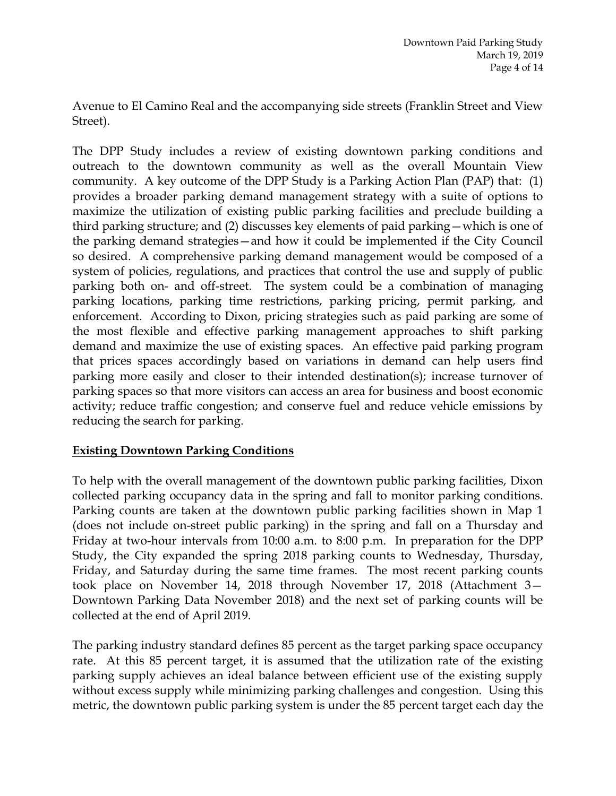Avenue to El Camino Real and the accompanying side streets (Franklin Street and View Street).

The DPP Study includes a review of existing downtown parking conditions and outreach to the downtown community as well as the overall Mountain View community. A key outcome of the DPP Study is a Parking Action Plan (PAP) that: (1) provides a broader parking demand management strategy with a suite of options to maximize the utilization of existing public parking facilities and preclude building a third parking structure; and (2) discusses key elements of paid parking—which is one of the parking demand strategies—and how it could be implemented if the City Council so desired. A comprehensive parking demand management would be composed of a system of policies, regulations, and practices that control the use and supply of public parking both on- and off-street. The system could be a combination of managing parking locations, parking time restrictions, parking pricing, permit parking, and enforcement. According to Dixon, pricing strategies such as paid parking are some of the most flexible and effective parking management approaches to shift parking demand and maximize the use of existing spaces. An effective paid parking program that prices spaces accordingly based on variations in demand can help users find parking more easily and closer to their intended destination(s); increase turnover of parking spaces so that more visitors can access an area for business and boost economic activity; reduce traffic congestion; and conserve fuel and reduce vehicle emissions by reducing the search for parking.

## **Existing Downtown Parking Conditions**

To help with the overall management of the downtown public parking facilities, Dixon collected parking occupancy data in the spring and fall to monitor parking conditions. Parking counts are taken at the downtown public parking facilities shown in Map 1 (does not include on-street public parking) in the spring and fall on a Thursday and Friday at two-hour intervals from 10:00 a.m. to 8:00 p.m. In preparation for the DPP Study, the City expanded the spring 2018 parking counts to Wednesday, Thursday, Friday, and Saturday during the same time frames. The most recent parking counts took place on November 14, 2018 through November 17, 2018 (Attachment 3— Downtown Parking Data November 2018) and the next set of parking counts will be collected at the end of April 2019.

The parking industry standard defines 85 percent as the target parking space occupancy rate. At this 85 percent target, it is assumed that the utilization rate of the existing parking supply achieves an ideal balance between efficient use of the existing supply without excess supply while minimizing parking challenges and congestion. Using this metric, the downtown public parking system is under the 85 percent target each day the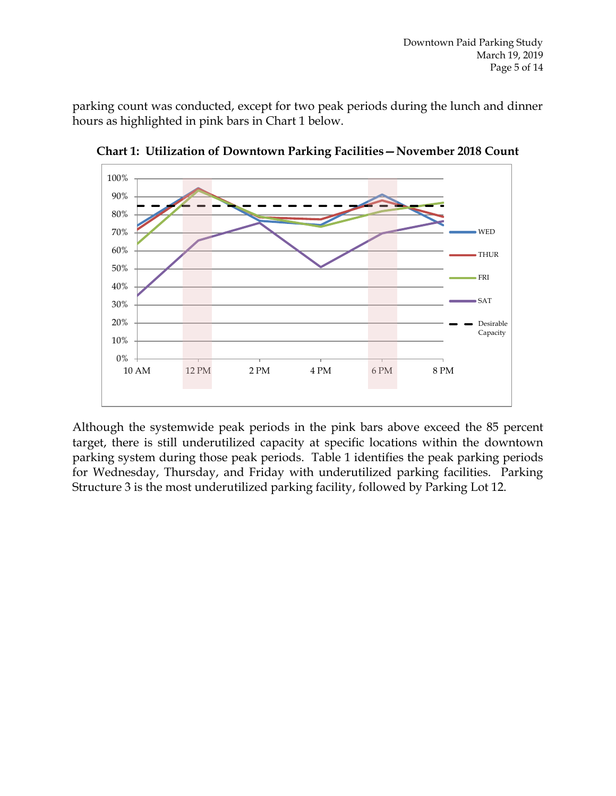parking count was conducted, except for two peak periods during the lunch and dinner hours as highlighted in pink bars in Chart 1 below.



**Chart 1: Utilization of Downtown Parking Facilities—November 2018 Count**

Although the systemwide peak periods in the pink bars above exceed the 85 percent target, there is still underutilized capacity at specific locations within the downtown parking system during those peak periods. Table 1 identifies the peak parking periods for Wednesday, Thursday, and Friday with underutilized parking facilities. Parking Structure 3 is the most underutilized parking facility, followed by Parking Lot 12.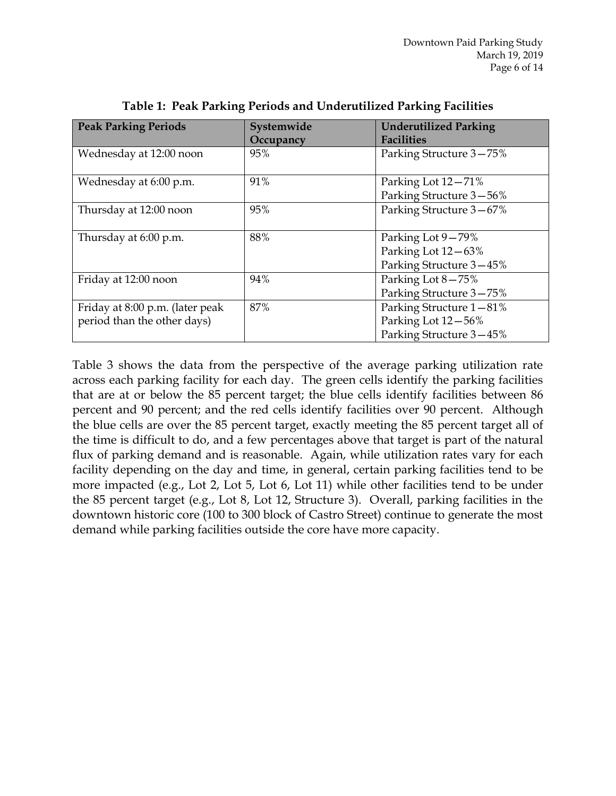| <b>Peak Parking Periods</b>     | Systemwide | <b>Underutilized Parking</b> |
|---------------------------------|------------|------------------------------|
|                                 | Occupancy  | <b>Facilities</b>            |
| Wednesday at 12:00 noon         | 95%        | Parking Structure 3-75%      |
|                                 |            |                              |
| Wednesday at 6:00 p.m.          | 91%        | Parking Lot 12-71%           |
|                                 |            | Parking Structure 3-56%      |
| Thursday at 12:00 noon          | 95%        | Parking Structure 3-67%      |
|                                 |            |                              |
| Thursday at 6:00 p.m.           | 88%        | Parking Lot 9-79%            |
|                                 |            | Parking Lot 12-63%           |
|                                 |            | Parking Structure 3-45%      |
| Friday at 12:00 noon            | 94%        | Parking Lot 8-75%            |
|                                 |            | Parking Structure 3-75%      |
| Friday at 8:00 p.m. (later peak | 87%        | Parking Structure 1-81%      |
| period than the other days)     |            | Parking Lot 12-56%           |
|                                 |            | Parking Structure 3-45%      |

**Table 1: Peak Parking Periods and Underutilized Parking Facilities**

Table 3 shows the data from the perspective of the average parking utilization rate across each parking facility for each day. The green cells identify the parking facilities that are at or below the 85 percent target; the blue cells identify facilities between 86 percent and 90 percent; and the red cells identify facilities over 90 percent. Although the blue cells are over the 85 percent target, exactly meeting the 85 percent target all of the time is difficult to do, and a few percentages above that target is part of the natural flux of parking demand and is reasonable. Again, while utilization rates vary for each facility depending on the day and time, in general, certain parking facilities tend to be more impacted (e.g., Lot 2, Lot 5, Lot 6, Lot 11) while other facilities tend to be under the 85 percent target (e.g., Lot 8, Lot 12, Structure 3). Overall, parking facilities in the downtown historic core (100 to 300 block of Castro Street) continue to generate the most demand while parking facilities outside the core have more capacity.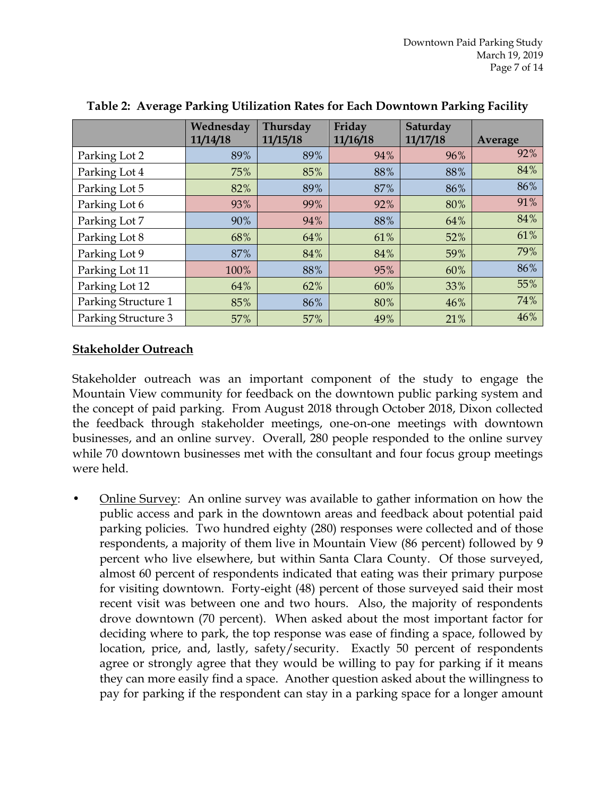|                     | Wednesday | Thursday | Friday   | Saturday |         |
|---------------------|-----------|----------|----------|----------|---------|
|                     | 11/14/18  | 11/15/18 | 11/16/18 | 11/17/18 | Average |
| Parking Lot 2       | 89%       | 89%      | 94%      | 96%      | 92%     |
| Parking Lot 4       | 75%       | 85%      | 88%      | 88%      | 84%     |
| Parking Lot 5       | 82%       | 89%      | 87%      | 86%      | 86%     |
| Parking Lot 6       | 93%       | 99%      | 92%      | 80%      | 91%     |
| Parking Lot 7       | 90%       | 94%      | 88%      | 64%      | 84%     |
| Parking Lot 8       | 68%       | 64%      | 61%      | 52%      | 61%     |
| Parking Lot 9       | 87%       | 84%      | 84%      | 59%      | 79%     |
| Parking Lot 11      | 100%      | 88%      | 95%      | 60%      | 86%     |
| Parking Lot 12      | 64%       | 62%      | 60%      | 33%      | 55%     |
| Parking Structure 1 | 85%       | 86%      | 80%      | 46%      | 74%     |
| Parking Structure 3 | 57%       | 57%      | 49%      | 21%      | 46%     |

**Table 2: Average Parking Utilization Rates for Each Downtown Parking Facility**

#### **Stakeholder Outreach**

Stakeholder outreach was an important component of the study to engage the Mountain View community for feedback on the downtown public parking system and the concept of paid parking. From August 2018 through October 2018, Dixon collected the feedback through stakeholder meetings, one-on-one meetings with downtown businesses, and an online survey. Overall, 280 people responded to the online survey while 70 downtown businesses met with the consultant and four focus group meetings were held.

• Online Survey: An online survey was available to gather information on how the public access and park in the downtown areas and feedback about potential paid parking policies. Two hundred eighty (280) responses were collected and of those respondents, a majority of them live in Mountain View (86 percent) followed by 9 percent who live elsewhere, but within Santa Clara County. Of those surveyed, almost 60 percent of respondents indicated that eating was their primary purpose for visiting downtown. Forty-eight (48) percent of those surveyed said their most recent visit was between one and two hours. Also, the majority of respondents drove downtown (70 percent). When asked about the most important factor for deciding where to park, the top response was ease of finding a space, followed by location, price, and, lastly, safety/security. Exactly 50 percent of respondents agree or strongly agree that they would be willing to pay for parking if it means they can more easily find a space. Another question asked about the willingness to pay for parking if the respondent can stay in a parking space for a longer amount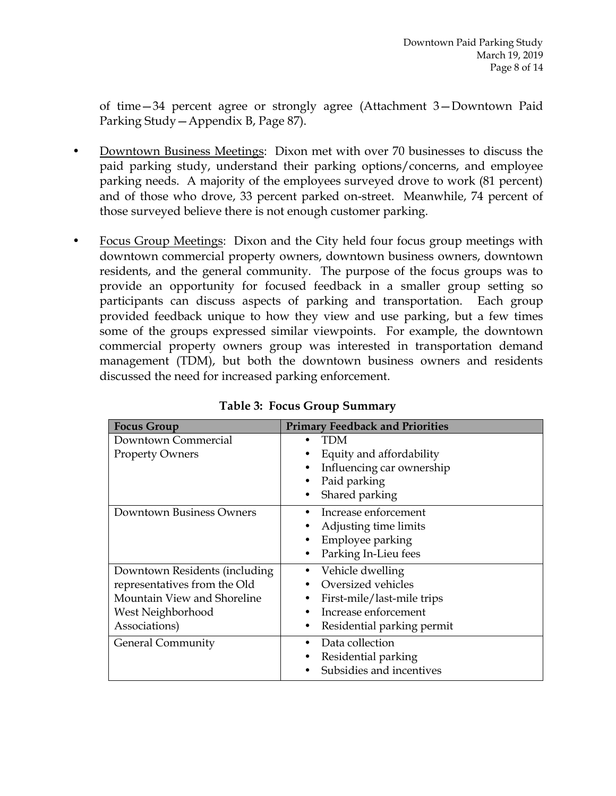of time—34 percent agree or strongly agree (Attachment 3—Downtown Paid Parking Study—Appendix B, Page 87).

- Downtown Business Meetings: Dixon met with over 70 businesses to discuss the paid parking study, understand their parking options/concerns, and employee parking needs. A majority of the employees surveyed drove to work (81 percent) and of those who drove, 33 percent parked on-street. Meanwhile, 74 percent of those surveyed believe there is not enough customer parking.
- Focus Group Meetings: Dixon and the City held four focus group meetings with downtown commercial property owners, downtown business owners, downtown residents, and the general community. The purpose of the focus groups was to provide an opportunity for focused feedback in a smaller group setting so participants can discuss aspects of parking and transportation. Each group provided feedback unique to how they view and use parking, but a few times some of the groups expressed similar viewpoints. For example, the downtown commercial property owners group was interested in transportation demand management (TDM), but both the downtown business owners and residents discussed the need for increased parking enforcement.

| <b>Focus Group</b>            | <b>Primary Feedback and Priorities</b> |  |  |
|-------------------------------|----------------------------------------|--|--|
| Downtown Commercial           | TDM                                    |  |  |
| <b>Property Owners</b>        | Equity and affordability               |  |  |
|                               | Influencing car ownership              |  |  |
|                               | Paid parking                           |  |  |
|                               | Shared parking                         |  |  |
| Downtown Business Owners      | Increase enforcement                   |  |  |
|                               | Adjusting time limits                  |  |  |
|                               | Employee parking                       |  |  |
|                               | Parking In-Lieu fees<br>٠              |  |  |
| Downtown Residents (including | Vehicle dwelling                       |  |  |
| representatives from the Old  | Oversized vehicles                     |  |  |
| Mountain View and Shoreline   | First-mile/last-mile trips             |  |  |
| West Neighborhood             | Increase enforcement                   |  |  |
| Associations)                 | Residential parking permit             |  |  |
| <b>General Community</b>      | Data collection                        |  |  |
|                               | Residential parking                    |  |  |
|                               | Subsidies and incentives               |  |  |

**Table 3: Focus Group Summary**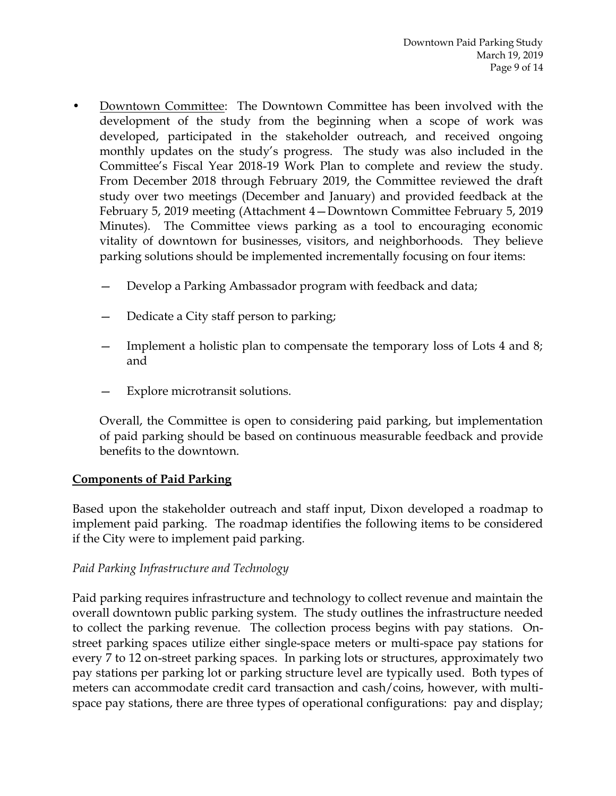- Downtown Committee:The Downtown Committee has been involved with the development of the study from the beginning when a scope of work was developed, participated in the stakeholder outreach, and received ongoing monthly updates on the study's progress. The study was also included in the Committee's Fiscal Year 2018-19 Work Plan to complete and review the study. From December 2018 through February 2019, the Committee reviewed the draft study over two meetings (December and January) and provided feedback at the February 5, 2019 meeting (Attachment 4—Downtown Committee February 5, 2019 Minutes). The Committee views parking as a tool to encouraging economic vitality of downtown for businesses, visitors, and neighborhoods. They believe parking solutions should be implemented incrementally focusing on four items:
	- Develop a Parking Ambassador program with feedback and data;
	- Dedicate a City staff person to parking;
	- Implement a holistic plan to compensate the temporary loss of Lots 4 and 8; and
	- Explore microtransit solutions.

Overall, the Committee is open to considering paid parking, but implementation of paid parking should be based on continuous measurable feedback and provide benefits to the downtown.

#### **Components of Paid Parking**

Based upon the stakeholder outreach and staff input, Dixon developed a roadmap to implement paid parking. The roadmap identifies the following items to be considered if the City were to implement paid parking.

## *Paid Parking Infrastructure and Technology*

Paid parking requires infrastructure and technology to collect revenue and maintain the overall downtown public parking system. The study outlines the infrastructure needed to collect the parking revenue. The collection process begins with pay stations. Onstreet parking spaces utilize either single-space meters or multi-space pay stations for every 7 to 12 on-street parking spaces. In parking lots or structures, approximately two pay stations per parking lot or parking structure level are typically used. Both types of meters can accommodate credit card transaction and cash/coins, however, with multispace pay stations, there are three types of operational configurations: pay and display;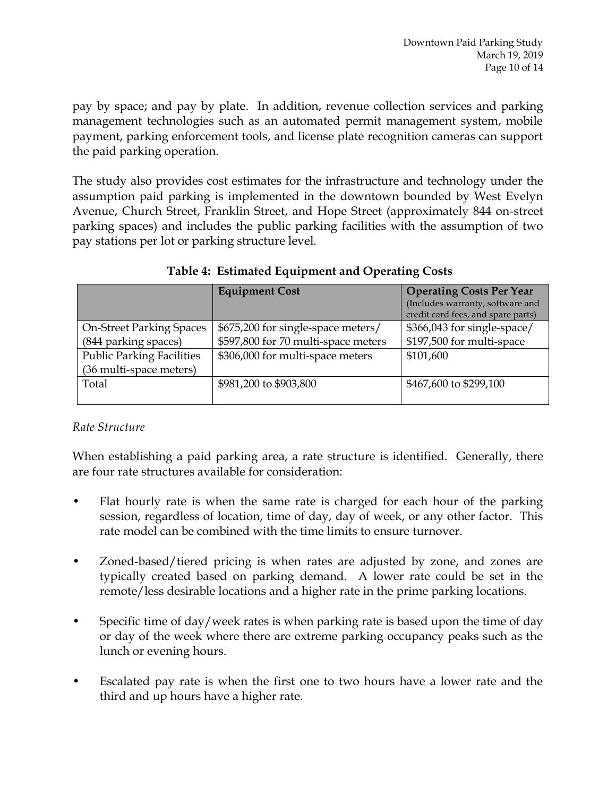pay by space; and pay by plate. In addition, revenue collection services and parking management technologies such as an automated permit management system, mobile payment, parking enforcement tools, and license plate recognition cameras can support the paid parking operation.

The study also provides cost estimates for the infrastructure and technology under the assumption paid parking is implemented in the downtown bounded by West Evelyn Avenue, Church Street, Franklin Street, and Hope Street (approximately 844 on-street parking spaces) and includes the public parking facilities with the assumption of two pay stations per lot or parking structure level.

|                                  | <b>Equipment Cost</b>               | <b>Operating Costs Per Year</b><br>(Includes warranty, software and<br>credit card fees, and spare parts) |
|----------------------------------|-------------------------------------|-----------------------------------------------------------------------------------------------------------|
| <b>On-Street Parking Spaces</b>  | \$675,200 for single-space meters/  | \$366,043 for single-space/                                                                               |
| (844 parking spaces)             | \$597,800 for 70 multi-space meters | \$197,500 for multi-space                                                                                 |
| <b>Public Parking Facilities</b> | \$306,000 for multi-space meters    | \$101,600                                                                                                 |
| (36 multi-space meters)          |                                     |                                                                                                           |
| Total                            | \$981,200 to \$903,800              | \$467,600 to \$299,100                                                                                    |

# **Table 4: Estimated Equipment and Operating Costs**

# *Rate Structure*

When establishing a paid parking area, a rate structure is identified. Generally, there are four rate structures available for consideration:

- Flat hourly rate is when the same rate is charged for each hour of the parking session, regardless of location, time of day, day of week, or any other factor. This rate model can be combined with the time limits to ensure turnover.
- Zoned-based/tiered pricing is when rates are adjusted by zone, and zones are typically created based on parking demand. A lower rate could be set in the remote/less desirable locations and a higher rate in the prime parking locations.
- Specific time of day/week rates is when parking rate is based upon the time of day or day of the week where there are extreme parking occupancy peaks such as the lunch or evening hours.
- Escalated pay rate is when the first one to two hours have a lower rate and the third and up hours have a higher rate.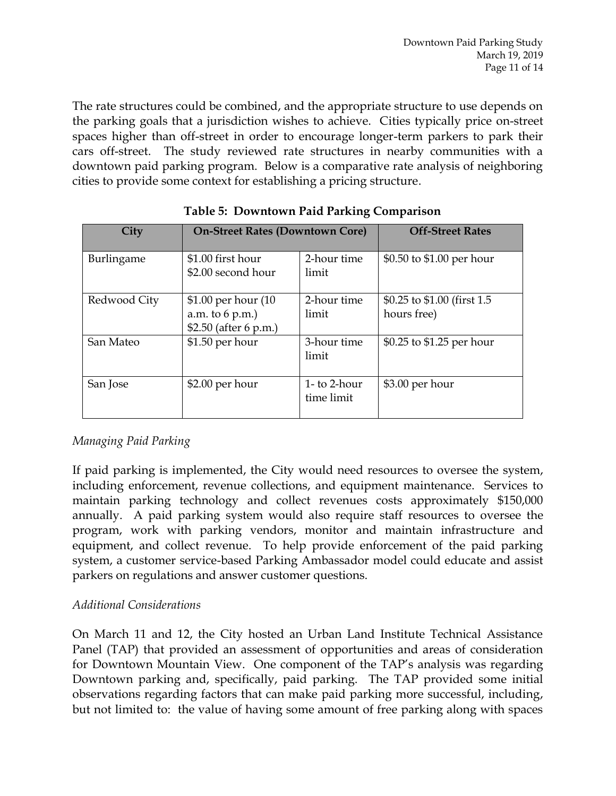The rate structures could be combined, and the appropriate structure to use depends on the parking goals that a jurisdiction wishes to achieve. Cities typically price on-street spaces higher than off-street in order to encourage longer-term parkers to park their cars off-street. The study reviewed rate structures in nearby communities with a downtown paid parking program. Below is a comparative rate analysis of neighboring cities to provide some context for establishing a pricing structure.

| City         | <b>On-Street Rates (Downtown Core)</b>                           |                            | <b>Off-Street Rates</b>                     |  |
|--------------|------------------------------------------------------------------|----------------------------|---------------------------------------------|--|
| Burlingame   | \$1.00 first hour<br>\$2.00 second hour                          | 2-hour time<br>limit       | \$0.50 to \$1.00 per hour                   |  |
| Redwood City | \$1.00 per hour (10)<br>a.m. to 6 p.m.)<br>\$2.50 (after 6 p.m.) | 2-hour time<br>limit       | \$0.25 to \$1.00 (first 1.5)<br>hours free) |  |
| San Mateo    | $$1.50$ per hour                                                 | 3-hour time<br>limit       | \$0.25 to \$1.25 per hour                   |  |
| San Jose     | $$2.00$ per hour                                                 | 1- to 2-hour<br>time limit | \$3.00 per hour                             |  |

|  |  |  |  | <b>Table 5: Downtown Paid Parking Comparison</b> |
|--|--|--|--|--------------------------------------------------|
|--|--|--|--|--------------------------------------------------|

# *Managing Paid Parking*

If paid parking is implemented, the City would need resources to oversee the system, including enforcement, revenue collections, and equipment maintenance. Services to maintain parking technology and collect revenues costs approximately \$150,000 annually. A paid parking system would also require staff resources to oversee the program, work with parking vendors, monitor and maintain infrastructure and equipment, and collect revenue. To help provide enforcement of the paid parking system, a customer service-based Parking Ambassador model could educate and assist parkers on regulations and answer customer questions.

## *Additional Considerations*

On March 11 and 12, the City hosted an Urban Land Institute Technical Assistance Panel (TAP) that provided an assessment of opportunities and areas of consideration for Downtown Mountain View. One component of the TAP's analysis was regarding Downtown parking and, specifically, paid parking. The TAP provided some initial observations regarding factors that can make paid parking more successful, including, but not limited to: the value of having some amount of free parking along with spaces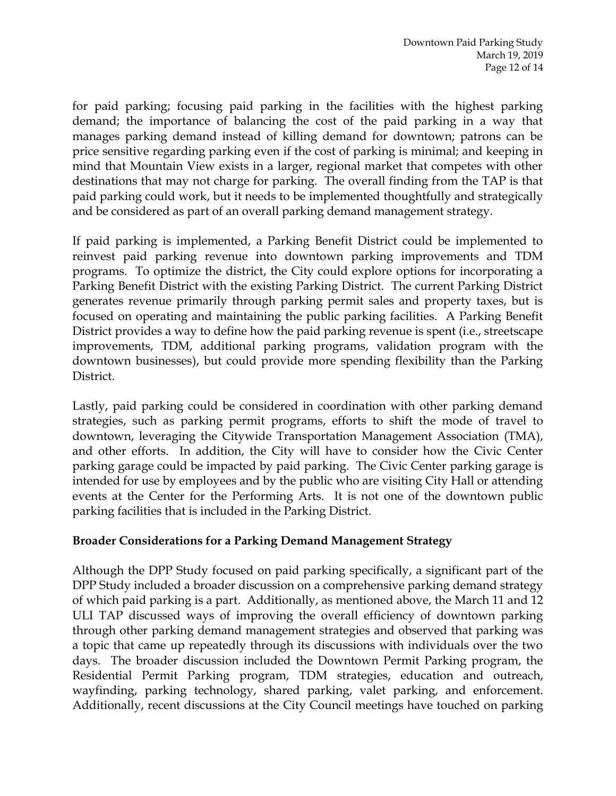for paid parking; focusing paid parking in the facilities with the highest parking demand; the importance of balancing the cost of the paid parking in a way that manages parking demand instead of killing demand for downtown; patrons can be price sensitive regarding parking even if the cost of parking is minimal; and keeping in mind that Mountain View exists in a larger, regional market that competes with other destinations that may not charge for parking. The overall finding from the TAP is that paid parking could work, but it needs to be implemented thoughtfully and strategically and be considered as part of an overall parking demand management strategy.

If paid parking is implemented, a Parking Benefit District could be implemented to reinvest paid parking revenue into downtown parking improvements and TDM programs. To optimize the district, the City could explore options for incorporating a Parking Benefit District with the existing Parking District. The current Parking District generates revenue primarily through parking permit sales and property taxes, but is focused on operating and maintaining the public parking facilities. A Parking Benefit District provides a way to define how the paid parking revenue is spent (i.e., streetscape improvements, TDM, additional parking programs, validation program with the downtown businesses), but could provide more spending flexibility than the Parking District.

Lastly, paid parking could be considered in coordination with other parking demand strategies, such as parking permit programs, efforts to shift the mode of travel to downtown, leveraging the Citywide Transportation Management Association (TMA), and other efforts. In addition, the City will have to consider how the Civic Center parking garage could be impacted by paid parking. The Civic Center parking garage is intended for use by employees and by the public who are visiting City Hall or attending events at the Center for the Performing Arts. It is not one of the downtown public parking facilities that is included in the Parking District.

#### **Broader Considerations for a Parking Demand Management Strategy**

Although the DPP Study focused on paid parking specifically, a significant part of the DPP Study included a broader discussion on a comprehensive parking demand strategy of which paid parking is a part. Additionally, as mentioned above, the March 11 and 12 ULI TAP discussed ways of improving the overall efficiency of downtown parking through other parking demand management strategies and observed that parking was a topic that came up repeatedly through its discussions with individuals over the two days. The broader discussion included the Downtown Permit Parking program, the Residential Permit Parking program, TDM strategies, education and outreach, wayfinding, parking technology, shared parking, valet parking, and enforcement. Additionally, recent discussions at the City Council meetings have touched on parking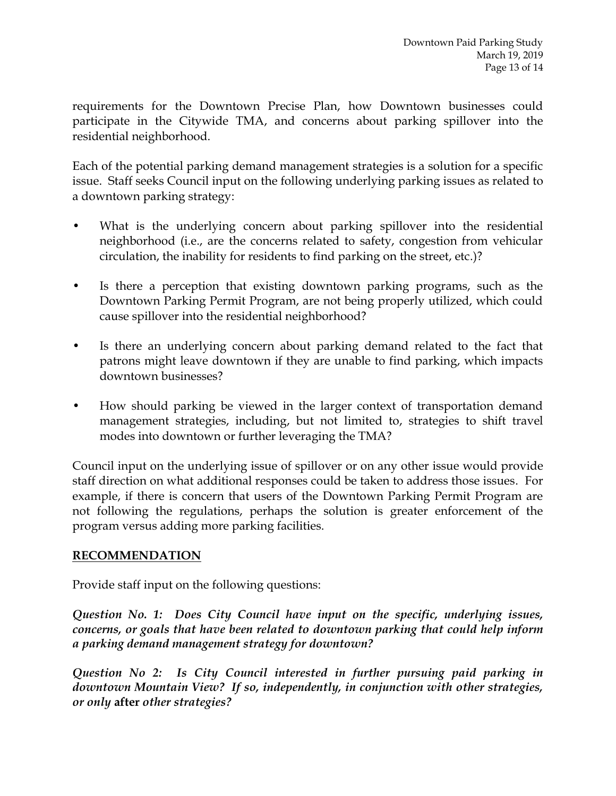requirements for the Downtown Precise Plan, how Downtown businesses could participate in the Citywide TMA, and concerns about parking spillover into the residential neighborhood.

Each of the potential parking demand management strategies is a solution for a specific issue. Staff seeks Council input on the following underlying parking issues as related to a downtown parking strategy:

- What is the underlying concern about parking spillover into the residential neighborhood (i.e., are the concerns related to safety, congestion from vehicular circulation, the inability for residents to find parking on the street, etc.)?
- Is there a perception that existing downtown parking programs, such as the Downtown Parking Permit Program, are not being properly utilized, which could cause spillover into the residential neighborhood?
- Is there an underlying concern about parking demand related to the fact that patrons might leave downtown if they are unable to find parking, which impacts downtown businesses?
- How should parking be viewed in the larger context of transportation demand management strategies, including, but not limited to, strategies to shift travel modes into downtown or further leveraging the TMA?

Council input on the underlying issue of spillover or on any other issue would provide staff direction on what additional responses could be taken to address those issues. For example, if there is concern that users of the Downtown Parking Permit Program are not following the regulations, perhaps the solution is greater enforcement of the program versus adding more parking facilities.

## **RECOMMENDATION**

Provide staff input on the following questions:

*Question No. 1: Does City Council have input on the specific, underlying issues, concerns, or goals that have been related to downtown parking that could help inform a parking demand management strategy for downtown?*

*Question No 2: Is City Council interested in further pursuing paid parking in downtown Mountain View? If so, independently, in conjunction with other strategies, or only* **after** *other strategies?*